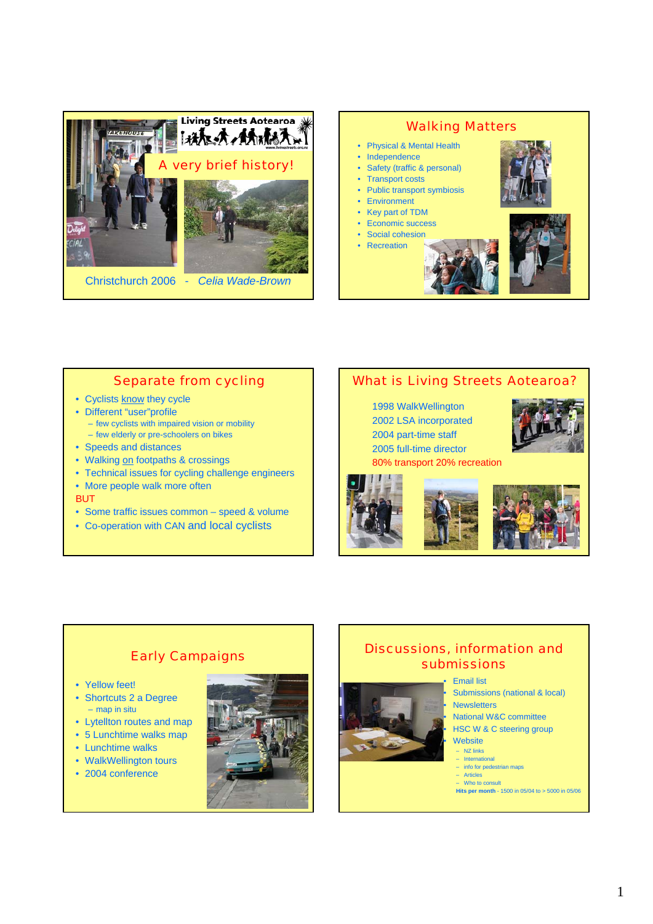



### Separate from cycling

- Cyclists know they cycle
- Different "user"profile
	- few cyclists with impaired vision or mobility
- few elderly or pre-schoolers on bikes
- Speeds and distances
- Walking on footpaths & crossings
- Technical issues for cycling challenge engineers
- More people walk more often
- BUT
- Some traffic issues common speed & volume
- Co-operation with CAN and local cyclists

# What is Living Streets Aotearoa?

1998 WalkWellington 2002 LSA incorporated 2004 part-time staff 2005 full-time director 80% transport 20% recreation







## Early Campaigns

- Yellow feet!
- Shortcuts 2 a Degree – map in situ
- Lytellton routes and map
- 5 Lunchtime walks map
- Lunchtime walks
- WalkWellington tours
- 2004 conference



# Discussions, information and submissions

#### • Email list

Submissions (national & local) **Newsletters** 

- National W&C committee • HSC W & C steering group
- **Website**
- NZ links – International
- info for pedestrian maps
- Articles – Who to consult
- **Hits per month** 1500 in 05/04 to > 5000 in 05/06